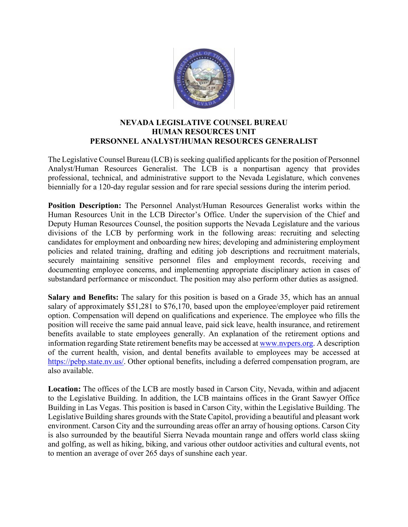

## **NEVADA LEGISLATIVE COUNSEL BUREAU HUMAN RESOURCES UNIT PERSONNEL ANALYST/HUMAN RESOURCES GENERALIST**

The Legislative Counsel Bureau (LCB) is seeking qualified applicants for the position of Personnel Analyst/Human Resources Generalist. The LCB is a nonpartisan agency that provides professional, technical, and administrative support to the Nevada Legislature, which convenes biennially for a 120-day regular session and for rare special sessions during the interim period.

**Position Description:** The Personnel Analyst/Human Resources Generalist works within the Human Resources Unit in the LCB Director's Office. Under the supervision of the Chief and Deputy Human Resources Counsel, the position supports the Nevada Legislature and the various divisions of the LCB by performing work in the following areas: recruiting and selecting candidates for employment and onboarding new hires; developing and administering employment policies and related training, drafting and editing job descriptions and recruitment materials, securely maintaining sensitive personnel files and employment records, receiving and documenting employee concerns, and implementing appropriate disciplinary action in cases of substandard performance or misconduct. The position may also perform other duties as assigned.

**Salary and Benefits:** The salary for this position is based on a Grade 35, which has an annual salary of approximately \$51,281 to \$76,170, based upon the employee/employer paid retirement option. Compensation will depend on qualifications and experience. The employee who fills the position will receive the same paid annual leave, paid sick leave, health insurance, and retirement benefits available to state employees generally. An explanation of the retirement options and information regarding State retirement benefits may be accessed at [www.nvpers.org.](http://www.nvpers.org/) A description of the current health, vision, and dental benefits available to employees may be accessed at [https://pebp.state.nv.us/.](https://pebp.state.nv.us/) Other optional benefits, including a deferred compensation program, are also available.  

**Location:** The offices of the LCB are mostly based in Carson City, Nevada, within and adjacent to the Legislative Building. In addition, the LCB maintains offices in the Grant Sawyer Office Building in Las Vegas. This position is based in Carson City, within the Legislative Building. The Legislative Building shares grounds with the State Capitol, providing a beautiful and pleasant work environment. Carson City and the surrounding areas offer an array of housing options. Carson City is also surrounded by the beautiful Sierra Nevada mountain range and offers world class skiing and golfing, as well as hiking, biking, and various other outdoor activities and cultural events, not to mention an average of over 265 days of sunshine each year.